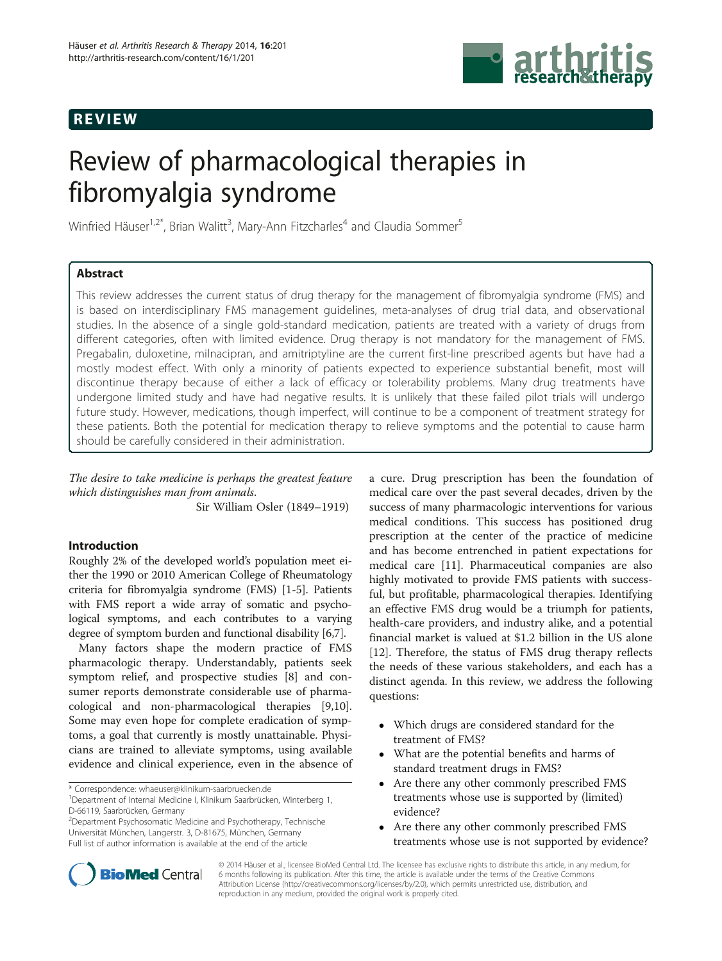# REVIEW



# Review of pharmacological therapies in fibromyalgia syndrome

Winfried Häuser<sup>1,2\*</sup>, Brian Walitt<sup>3</sup>, Mary-Ann Fitzcharles<sup>4</sup> and Claudia Sommer<sup>5</sup>

# Abstract

This review addresses the current status of drug therapy for the management of fibromyalgia syndrome (FMS) and is based on interdisciplinary FMS management guidelines, meta-analyses of drug trial data, and observational studies. In the absence of a single gold-standard medication, patients are treated with a variety of drugs from different categories, often with limited evidence. Drug therapy is not mandatory for the management of FMS. Pregabalin, duloxetine, milnacipran, and amitriptyline are the current first-line prescribed agents but have had a mostly modest effect. With only a minority of patients expected to experience substantial benefit, most will discontinue therapy because of either a lack of efficacy or tolerability problems. Many drug treatments have undergone limited study and have had negative results. It is unlikely that these failed pilot trials will undergo future study. However, medications, though imperfect, will continue to be a component of treatment strategy for these patients. Both the potential for medication therapy to relieve symptoms and the potential to cause harm should be carefully considered in their administration.

The desire to take medicine is perhaps the greatest feature which distinguishes man from animals.

Sir William Osler (1849–1919)

# Introduction

Roughly 2% of the developed world's population meet either the 1990 or 2010 American College of Rheumatology criteria for fibromyalgia syndrome (FMS) [[1](#page-7-0)[-5](#page-8-0)]. Patients with FMS report a wide array of somatic and psychological symptoms, and each contributes to a varying degree of symptom burden and functional disability [[6,7\]](#page-8-0).

Many factors shape the modern practice of FMS pharmacologic therapy. Understandably, patients seek symptom relief, and prospective studies [[8\]](#page-8-0) and consumer reports demonstrate considerable use of pharmacological and non-pharmacological therapies [\[9,10](#page-8-0)]. Some may even hope for complete eradication of symptoms, a goal that currently is mostly unattainable. Physicians are trained to alleviate symptoms, using available evidence and clinical experience, even in the absence of

\* Correspondence: [whaeuser@klinikum-saarbruecken.de](mailto:whaeuser@klinikum-saarbruecken.de) <sup>1</sup>

2 Department Psychosomatic Medicine and Psychotherapy, Technische Universität München, Langerstr. 3, D-81675, München, Germany Full list of author information is available at the end of the article

a cure. Drug prescription has been the foundation of medical care over the past several decades, driven by the success of many pharmacologic interventions for various medical conditions. This success has positioned drug prescription at the center of the practice of medicine and has become entrenched in patient expectations for medical care [\[11](#page-8-0)]. Pharmaceutical companies are also highly motivated to provide FMS patients with successful, but profitable, pharmacological therapies. Identifying an effective FMS drug would be a triumph for patients, health-care providers, and industry alike, and a potential financial market is valued at \$1.2 billion in the US alone [[12\]](#page-8-0). Therefore, the status of FMS drug therapy reflects the needs of these various stakeholders, and each has a distinct agenda. In this review, we address the following questions:

- Which drugs are considered standard for the treatment of FMS?
- What are the potential benefits and harms of standard treatment drugs in FMS?
- Are there any other commonly prescribed FMS treatments whose use is supported by (limited) evidence?
- Are there any other commonly prescribed FMS treatments whose use is not supported by evidence?



© 2014 Häuser et al.; licensee BioMed Central Ltd. The licensee has exclusive rights to distribute this article, in any medium, for 6 months following its publication. After this time, the article is available under the terms of the Creative Commons Attribution License (<http://creativecommons.org/licenses/by/2.0>), which permits unrestricted use, distribution, and reproduction in any medium, provided the original work is properly cited.

<sup>&</sup>lt;sup>1</sup> Department of Internal Medicine I, Klinikum Saarbrücken, Winterberg 1, D-66119, Saarbrücken, Germany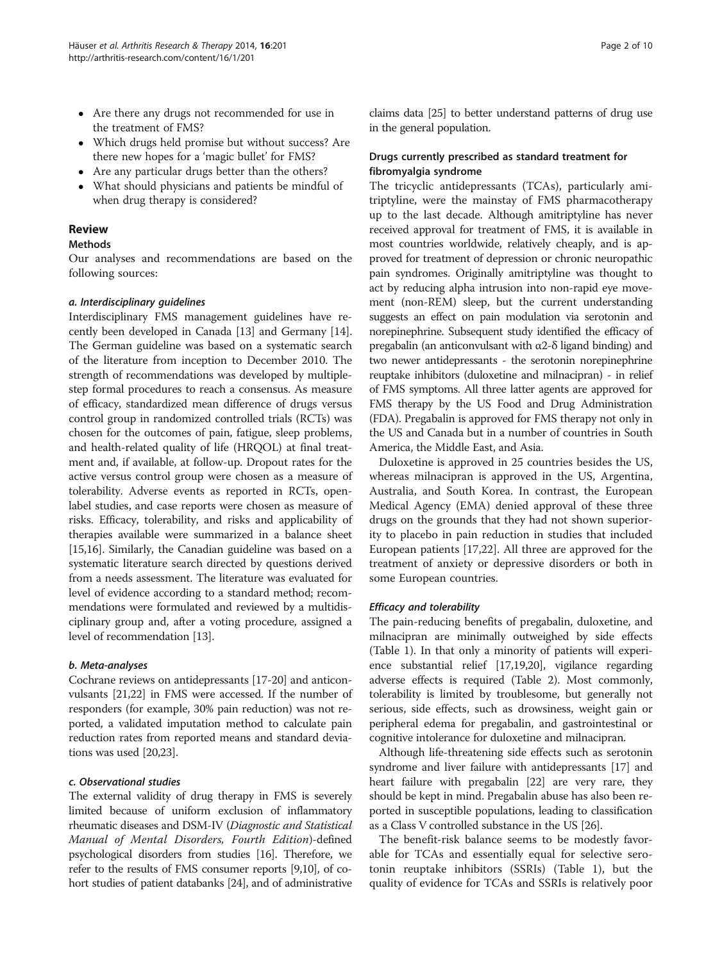- Are there any drugs not recommended for use in the treatment of FMS?
- Which drugs held promise but without success? Are there new hopes for a 'magic bullet' for FMS?
- Are any particular drugs better than the others?
- What should physicians and patients be mindful of when drug therapy is considered?

#### Review

#### Methods

Our analyses and recommendations are based on the following sources:

#### a. Interdisciplinary guidelines

Interdisciplinary FMS management guidelines have recently been developed in Canada [[13](#page-8-0)] and Germany [[14](#page-8-0)]. The German guideline was based on a systematic search of the literature from inception to December 2010. The strength of recommendations was developed by multiplestep formal procedures to reach a consensus. As measure of efficacy, standardized mean difference of drugs versus control group in randomized controlled trials (RCTs) was chosen for the outcomes of pain, fatigue, sleep problems, and health-related quality of life (HRQOL) at final treatment and, if available, at follow-up. Dropout rates for the active versus control group were chosen as a measure of tolerability. Adverse events as reported in RCTs, openlabel studies, and case reports were chosen as measure of risks. Efficacy, tolerability, and risks and applicability of therapies available were summarized in a balance sheet [[15,16](#page-8-0)]. Similarly, the Canadian guideline was based on a systematic literature search directed by questions derived from a needs assessment. The literature was evaluated for level of evidence according to a standard method; recommendations were formulated and reviewed by a multidisciplinary group and, after a voting procedure, assigned a level of recommendation [\[13\]](#page-8-0).

#### b. Meta-analyses

Cochrane reviews on antidepressants [\[17-20\]](#page-8-0) and anticonvulsants [[21,22](#page-8-0)] in FMS were accessed. If the number of responders (for example, 30% pain reduction) was not reported, a validated imputation method to calculate pain reduction rates from reported means and standard deviations was used [[20,23\]](#page-8-0).

#### c. Observational studies

The external validity of drug therapy in FMS is severely limited because of uniform exclusion of inflammatory rheumatic diseases and DSM-IV (Diagnostic and Statistical Manual of Mental Disorders, Fourth Edition)-defined psychological disorders from studies [\[16\]](#page-8-0). Therefore, we refer to the results of FMS consumer reports [[9,10\]](#page-8-0), of cohort studies of patient databanks [\[24\]](#page-8-0), and of administrative claims data [\[25](#page-8-0)] to better understand patterns of drug use in the general population.

#### Drugs currently prescribed as standard treatment for fibromyalgia syndrome

The tricyclic antidepressants (TCAs), particularly amitriptyline, were the mainstay of FMS pharmacotherapy up to the last decade. Although amitriptyline has never received approval for treatment of FMS, it is available in most countries worldwide, relatively cheaply, and is approved for treatment of depression or chronic neuropathic pain syndromes. Originally amitriptyline was thought to act by reducing alpha intrusion into non-rapid eye movement (non-REM) sleep, but the current understanding suggests an effect on pain modulation via serotonin and norepinephrine. Subsequent study identified the efficacy of pregabalin (an anticonvulsant with α2-δ ligand binding) and two newer antidepressants - the serotonin norepinephrine reuptake inhibitors (duloxetine and milnacipran) - in relief of FMS symptoms. All three latter agents are approved for FMS therapy by the US Food and Drug Administration (FDA). Pregabalin is approved for FMS therapy not only in the US and Canada but in a number of countries in South America, the Middle East, and Asia.

Duloxetine is approved in 25 countries besides the US, whereas milnacipran is approved in the US, Argentina, Australia, and South Korea. In contrast, the European Medical Agency (EMA) denied approval of these three drugs on the grounds that they had not shown superiority to placebo in pain reduction in studies that included European patients [\[17,22](#page-8-0)]. All three are approved for the treatment of anxiety or depressive disorders or both in some European countries.

#### Efficacy and tolerability

The pain-reducing benefits of pregabalin, duloxetine, and milnacipran are minimally outweighed by side effects (Table [1](#page-2-0)). In that only a minority of patients will experience substantial relief [\[17,19,20](#page-8-0)], vigilance regarding adverse effects is required (Table [2\)](#page-3-0). Most commonly, tolerability is limited by troublesome, but generally not serious, side effects, such as drowsiness, weight gain or peripheral edema for pregabalin, and gastrointestinal or cognitive intolerance for duloxetine and milnacipran.

Although life-threatening side effects such as serotonin syndrome and liver failure with antidepressants [\[17\]](#page-8-0) and heart failure with pregabalin [\[22\]](#page-8-0) are very rare, they should be kept in mind. Pregabalin abuse has also been reported in susceptible populations, leading to classification as a Class V controlled substance in the US [\[26](#page-8-0)].

The benefit-risk balance seems to be modestly favorable for TCAs and essentially equal for selective serotonin reuptake inhibitors (SSRIs) (Table [1\)](#page-2-0), but the quality of evidence for TCAs and SSRIs is relatively poor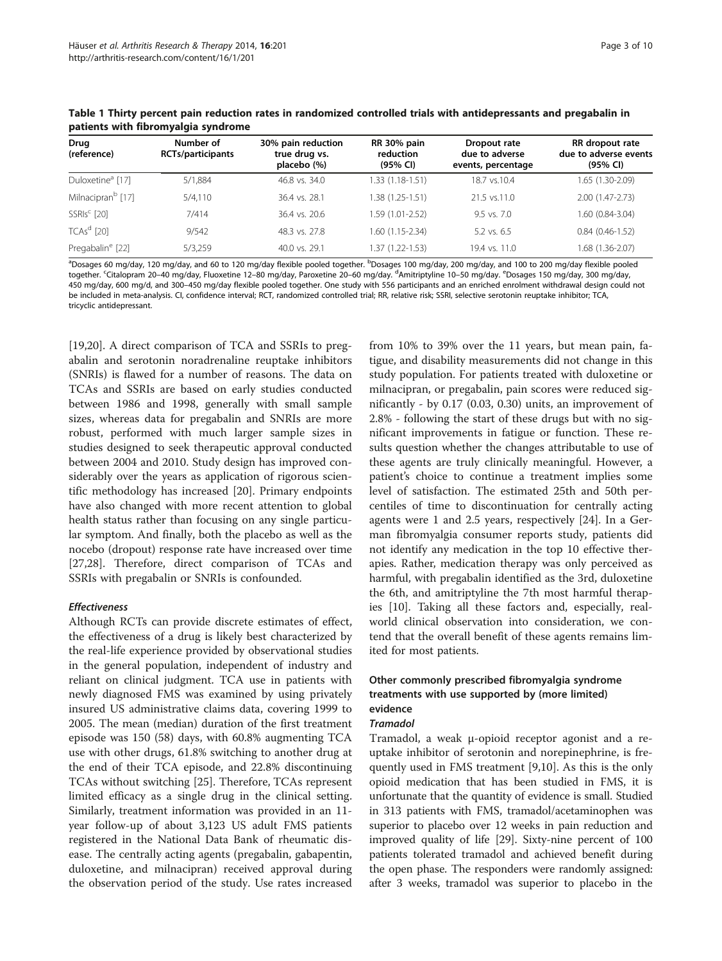| Drug<br>(reference)           | Number of<br><b>RCTs/participants</b> | 30% pain reduction<br>true drug vs.<br>placebo (%) | RR 30% pain<br>reduction<br>(95% CI) | Dropout rate<br>due to adverse<br>events, percentage | RR dropout rate<br>due to adverse events<br>(95% CI) |
|-------------------------------|---------------------------------------|----------------------------------------------------|--------------------------------------|------------------------------------------------------|------------------------------------------------------|
| Duloxetine <sup>a</sup> [17]  | 5/1,884                               | 46.8 vs. 34.0                                      | 1.33 (1.18-1.51)                     | 18.7 vs.10.4                                         | 1.65 (1.30-2.09)                                     |
| Milnacipran <sup>b</sup> [17] | 5/4.110                               | 36.4 vs. 28.1                                      | 1.38 (1.25-1.51)                     | 21.5 vs.11.0                                         | $2.00(1.47 - 2.73)$                                  |
| $SSRIsc$ [20]                 | 7/414                                 | 36.4 vs. 20.6                                      | 1.59 (1.01-2.52)                     | $9.5$ vs. $7.0$                                      | 1.60 (0.84-3.04)                                     |
| $TCAsd$ [20]                  | 9/542                                 | 48.3 vs. 27.8                                      | 1.60 (1.15-2.34)                     | $5.2$ vs. 6.5                                        | $0.84(0.46-1.52)$                                    |
| Pregabalin <sup>e</sup> [22]  | 5/3,259                               | 40.0 vs. 29.1                                      | 1.37 (1.22-1.53)                     | 19.4 vs. 11.0                                        | 1.68 (1.36-2.07)                                     |

<span id="page-2-0"></span>Table 1 Thirty percent pain reduction rates in randomized controlled trials with antidepressants and pregabalin in patients with fibromyalgia syndrome

<sup>a</sup>Dosages 60 mg/day, 120 mg/day, and 60 to 120 mg/day flexible pooled together. <sup>b</sup>Dosages 100 mg/day, 200 mg/day, and 100 to 200 mg/day flexible pooled together. <sup>c</sup>Citalopram 20–40 mg/day, Fluoxetine 12–80 mg/day, Paroxetine 20–60 mg/day. <sup>d</sup>Amitriptyline 10–50 mg/day. <sup>e</sup>Dosages 150 mg/day, 300 mg/day, 450 mg/day, 600 mg/d, and 300–450 mg/day flexible pooled together. One study with 556 participants and an enriched enrolment withdrawal design could not be included in meta-analysis. CI, confidence interval; RCT, randomized controlled trial; RR, relative risk; SSRI, selective serotonin reuptake inhibitor; TCA, tricyclic antidepressant.

[[19,20\]](#page-8-0). A direct comparison of TCA and SSRIs to pregabalin and serotonin noradrenaline reuptake inhibitors (SNRIs) is flawed for a number of reasons. The data on TCAs and SSRIs are based on early studies conducted between 1986 and 1998, generally with small sample sizes, whereas data for pregabalin and SNRIs are more robust, performed with much larger sample sizes in studies designed to seek therapeutic approval conducted between 2004 and 2010. Study design has improved considerably over the years as application of rigorous scientific methodology has increased [\[20](#page-8-0)]. Primary endpoints have also changed with more recent attention to global health status rather than focusing on any single particular symptom. And finally, both the placebo as well as the nocebo (dropout) response rate have increased over time [[27,28\]](#page-8-0). Therefore, direct comparison of TCAs and SSRIs with pregabalin or SNRIs is confounded.

#### Effectiveness

Although RCTs can provide discrete estimates of effect, the effectiveness of a drug is likely best characterized by the real-life experience provided by observational studies in the general population, independent of industry and reliant on clinical judgment. TCA use in patients with newly diagnosed FMS was examined by using privately insured US administrative claims data, covering 1999 to 2005. The mean (median) duration of the first treatment episode was 150 (58) days, with 60.8% augmenting TCA use with other drugs, 61.8% switching to another drug at the end of their TCA episode, and 22.8% discontinuing TCAs without switching [[25\]](#page-8-0). Therefore, TCAs represent limited efficacy as a single drug in the clinical setting. Similarly, treatment information was provided in an 11 year follow-up of about 3,123 US adult FMS patients registered in the National Data Bank of rheumatic disease. The centrally acting agents (pregabalin, gabapentin, duloxetine, and milnacipran) received approval during the observation period of the study. Use rates increased

from 10% to 39% over the 11 years, but mean pain, fatigue, and disability measurements did not change in this study population. For patients treated with duloxetine or milnacipran, or pregabalin, pain scores were reduced significantly - by 0.17 (0.03, 0.30) units, an improvement of 2.8% - following the start of these drugs but with no significant improvements in fatigue or function. These results question whether the changes attributable to use of these agents are truly clinically meaningful. However, a patient's choice to continue a treatment implies some level of satisfaction. The estimated 25th and 50th percentiles of time to discontinuation for centrally acting agents were 1 and 2.5 years, respectively [[24\]](#page-8-0). In a German fibromyalgia consumer reports study, patients did not identify any medication in the top 10 effective therapies. Rather, medication therapy was only perceived as harmful, with pregabalin identified as the 3rd, duloxetine the 6th, and amitriptyline the 7th most harmful therapies [[10\]](#page-8-0). Taking all these factors and, especially, realworld clinical observation into consideration, we contend that the overall benefit of these agents remains limited for most patients.

# Other commonly prescribed fibromyalgia syndrome treatments with use supported by (more limited) evidence

#### Tramadol

Tramadol, a weak μ-opioid receptor agonist and a reuptake inhibitor of serotonin and norepinephrine, is frequently used in FMS treatment [\[9,10](#page-8-0)]. As this is the only opioid medication that has been studied in FMS, it is unfortunate that the quantity of evidence is small. Studied in 313 patients with FMS, tramadol/acetaminophen was superior to placebo over 12 weeks in pain reduction and improved quality of life [[29\]](#page-8-0). Sixty-nine percent of 100 patients tolerated tramadol and achieved benefit during the open phase. The responders were randomly assigned: after 3 weeks, tramadol was superior to placebo in the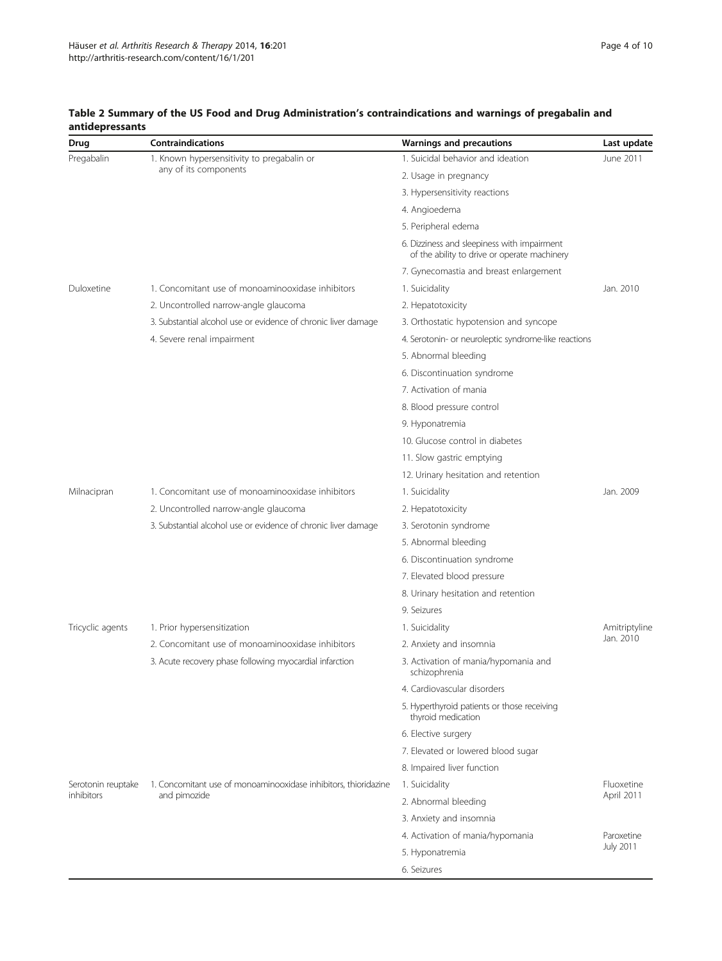| Drug                             | Contraindications                                               | <b>Warnings and precautions</b>                                                             | Last update                           |  |
|----------------------------------|-----------------------------------------------------------------|---------------------------------------------------------------------------------------------|---------------------------------------|--|
| Pregabalin                       | 1. Known hypersensitivity to pregabalin or                      | 1. Suicidal behavior and ideation                                                           | June 2011                             |  |
|                                  | any of its components                                           | 2. Usage in pregnancy                                                                       |                                       |  |
|                                  |                                                                 | 3. Hypersensitivity reactions                                                               |                                       |  |
|                                  |                                                                 | 4. Angioedema                                                                               |                                       |  |
|                                  |                                                                 | 5. Peripheral edema                                                                         |                                       |  |
|                                  |                                                                 | 6. Dizziness and sleepiness with impairment<br>of the ability to drive or operate machinery |                                       |  |
|                                  |                                                                 | 7. Gynecomastia and breast enlargement                                                      |                                       |  |
| Duloxetine                       | 1. Concomitant use of monoaminooxidase inhibitors               | 1. Suicidality                                                                              | Jan. 2010                             |  |
|                                  | 2. Uncontrolled narrow-angle glaucoma                           | 2. Hepatotoxicity                                                                           |                                       |  |
|                                  | 3. Substantial alcohol use or evidence of chronic liver damage  | 3. Orthostatic hypotension and syncope                                                      |                                       |  |
|                                  | 4. Severe renal impairment                                      | 4. Serotonin- or neuroleptic syndrome-like reactions                                        |                                       |  |
|                                  |                                                                 | 5. Abnormal bleeding                                                                        |                                       |  |
|                                  |                                                                 | 6. Discontinuation syndrome                                                                 |                                       |  |
|                                  |                                                                 | 7. Activation of mania                                                                      |                                       |  |
|                                  |                                                                 | 8. Blood pressure control                                                                   |                                       |  |
|                                  |                                                                 | 9. Hyponatremia                                                                             |                                       |  |
|                                  |                                                                 | 10. Glucose control in diabetes                                                             |                                       |  |
|                                  |                                                                 | 11. Slow gastric emptying                                                                   |                                       |  |
|                                  |                                                                 | 12. Urinary hesitation and retention                                                        |                                       |  |
| Milnacipran                      | 1. Concomitant use of monoaminooxidase inhibitors               | 1. Suicidality                                                                              | Jan. 2009                             |  |
|                                  | 2. Uncontrolled narrow-angle glaucoma                           | 2. Hepatotoxicity                                                                           |                                       |  |
|                                  | 3. Substantial alcohol use or evidence of chronic liver damage  | 3. Serotonin syndrome                                                                       |                                       |  |
|                                  |                                                                 | 5. Abnormal bleeding                                                                        |                                       |  |
|                                  |                                                                 | 6. Discontinuation syndrome                                                                 |                                       |  |
|                                  |                                                                 | 7. Elevated blood pressure                                                                  |                                       |  |
|                                  |                                                                 | 8. Urinary hesitation and retention                                                         |                                       |  |
|                                  |                                                                 | 9. Seizures                                                                                 |                                       |  |
| Tricyclic agents                 | 1. Prior hypersensitization                                     | 1. Suicidality                                                                              | Amitriptyline                         |  |
|                                  | 2. Concomitant use of monoaminooxidase inhibitors               | 2. Anxiety and insomnia                                                                     | Jan. 2010                             |  |
|                                  | 3. Acute recovery phase following myocardial infarction         | 3. Activation of mania/hypomania and<br>schizophrenia                                       |                                       |  |
|                                  |                                                                 | 4. Cardiovascular disorders                                                                 |                                       |  |
|                                  |                                                                 | 5. Hyperthyroid patients or those receiving<br>thyroid medication                           |                                       |  |
|                                  |                                                                 | 6. Elective surgery                                                                         |                                       |  |
|                                  |                                                                 | 7. Elevated or lowered blood sugar                                                          |                                       |  |
|                                  |                                                                 | 8. Impaired liver function                                                                  |                                       |  |
| Serotonin reuptake<br>inhibitors | 1. Concomitant use of monoaminooxidase inhibitors, thioridazine | 1. Suicidality                                                                              | Fluoxetine                            |  |
|                                  | and pimozide                                                    | 2. Abnormal bleeding                                                                        | April 2011<br>Paroxetine<br>July 2011 |  |
|                                  |                                                                 | 3. Anxiety and insomnia                                                                     |                                       |  |
|                                  |                                                                 | 4. Activation of mania/hypomania                                                            |                                       |  |
|                                  |                                                                 | 5. Hyponatremia                                                                             |                                       |  |
|                                  |                                                                 | 6. Seizures                                                                                 |                                       |  |

#### <span id="page-3-0"></span>Table 2 Summary of the US Food and Drug Administration's contraindications and warnings of pregabalin and antidepressants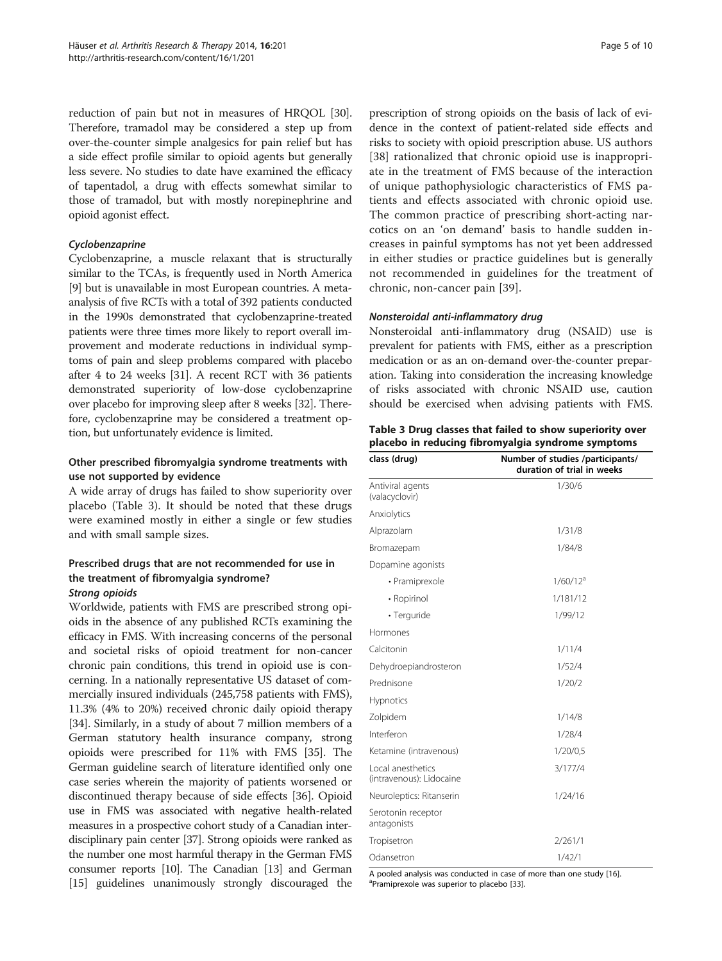reduction of pain but not in measures of HRQOL [[30](#page-8-0)]. Therefore, tramadol may be considered a step up from over-the-counter simple analgesics for pain relief but has a side effect profile similar to opioid agents but generally less severe. No studies to date have examined the efficacy of tapentadol, a drug with effects somewhat similar to those of tramadol, but with mostly norepinephrine and opioid agonist effect.

#### Cyclobenzaprine

Cyclobenzaprine, a muscle relaxant that is structurally similar to the TCAs, is frequently used in North America [[9\]](#page-8-0) but is unavailable in most European countries. A metaanalysis of five RCTs with a total of 392 patients conducted in the 1990s demonstrated that cyclobenzaprine-treated patients were three times more likely to report overall improvement and moderate reductions in individual symptoms of pain and sleep problems compared with placebo after 4 to 24 weeks [\[31\]](#page-8-0). A recent RCT with 36 patients demonstrated superiority of low-dose cyclobenzaprine over placebo for improving sleep after 8 weeks [\[32\]](#page-8-0). Therefore, cyclobenzaprine may be considered a treatment option, but unfortunately evidence is limited.

### Other prescribed fibromyalgia syndrome treatments with use not supported by evidence

A wide array of drugs has failed to show superiority over placebo (Table 3). It should be noted that these drugs were examined mostly in either a single or few studies and with small sample sizes.

## Prescribed drugs that are not recommended for use in the treatment of fibromyalgia syndrome? Strong opioids

Worldwide, patients with FMS are prescribed strong opioids in the absence of any published RCTs examining the efficacy in FMS. With increasing concerns of the personal and societal risks of opioid treatment for non-cancer chronic pain conditions, this trend in opioid use is concerning. In a nationally representative US dataset of commercially insured individuals (245,758 patients with FMS), 11.3% (4% to 20%) received chronic daily opioid therapy [[34](#page-8-0)]. Similarly, in a study of about 7 million members of a German statutory health insurance company, strong opioids were prescribed for 11% with FMS [\[35\]](#page-8-0). The German guideline search of literature identified only one case series wherein the majority of patients worsened or discontinued therapy because of side effects [\[36\]](#page-8-0). Opioid use in FMS was associated with negative health-related measures in a prospective cohort study of a Canadian interdisciplinary pain center [\[37](#page-8-0)]. Strong opioids were ranked as the number one most harmful therapy in the German FMS consumer reports [\[10\]](#page-8-0). The Canadian [\[13](#page-8-0)] and German [[15](#page-8-0)] guidelines unanimously strongly discouraged the

prescription of strong opioids on the basis of lack of evidence in the context of patient-related side effects and risks to society with opioid prescription abuse. US authors [[38\]](#page-8-0) rationalized that chronic opioid use is inappropriate in the treatment of FMS because of the interaction of unique pathophysiologic characteristics of FMS patients and effects associated with chronic opioid use. The common practice of prescribing short-acting narcotics on an 'on demand' basis to handle sudden increases in painful symptoms has not yet been addressed in either studies or practice guidelines but is generally not recommended in guidelines for the treatment of chronic, non-cancer pain [[39\]](#page-8-0).

#### Nonsteroidal anti-inflammatory drug

Nonsteroidal anti-inflammatory drug (NSAID) use is prevalent for patients with FMS, either as a prescription medication or as an on-demand over-the-counter preparation. Taking into consideration the increasing knowledge of risks associated with chronic NSAID use, caution should be exercised when advising patients with FMS.

Table 3 Drug classes that failed to show superiority over placebo in reducing fibromyalgia syndrome symptoms

| class (drug)                                  | Number of studies /participants/<br>duration of trial in weeks |  |  |
|-----------------------------------------------|----------------------------------------------------------------|--|--|
| Antiviral agents<br>(valacyclovir)            | 1/30/6                                                         |  |  |
| Anxiolytics                                   |                                                                |  |  |
| Alprazolam                                    | 1/31/8                                                         |  |  |
| Bromazepam                                    | 1/84/8                                                         |  |  |
| Dopamine agonists                             |                                                                |  |  |
| • Pramiprexole                                | 1/60/12 <sup>a</sup>                                           |  |  |
| • Ropirinol                                   | 1/181/12                                                       |  |  |
| • Terguride                                   | 1/99/12                                                        |  |  |
| Hormones                                      |                                                                |  |  |
| Calcitonin                                    | 1/11/4                                                         |  |  |
| Dehydroepiandrosteron                         | 1/52/4                                                         |  |  |
| Prednisone                                    | 1/20/2                                                         |  |  |
| <b>Hypnotics</b>                              |                                                                |  |  |
| Zolpidem                                      | 1/14/8                                                         |  |  |
| Interferon                                    | 1/28/4                                                         |  |  |
| Ketamine (intravenous)                        | 1/20/0.5                                                       |  |  |
| Local anesthetics<br>(intravenous): Lidocaine | 3/177/4                                                        |  |  |
| Neuroleptics: Ritanserin                      | 1/24/16                                                        |  |  |
| Serotonin receptor<br>antagonists             |                                                                |  |  |
| Tropisetron                                   | 2/261/1                                                        |  |  |
| Odansetron                                    | 1/42/1                                                         |  |  |

A pooled analysis was conducted in case of more than one study [\[16](#page-8-0)]. <sup>a</sup>Pramiprexole was superior to placebo [[33](#page-8-0)].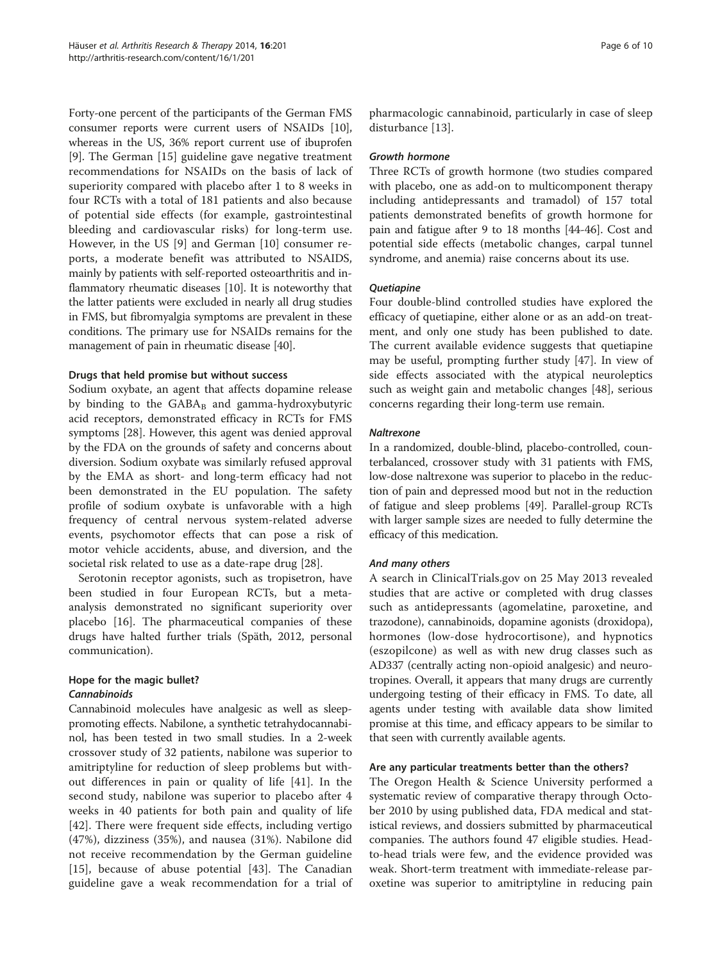Forty-one percent of the participants of the German FMS consumer reports were current users of NSAIDs [[10](#page-8-0)], whereas in the US, 36% report current use of ibuprofen [[9\]](#page-8-0). The German [[15](#page-8-0)] guideline gave negative treatment recommendations for NSAIDs on the basis of lack of superiority compared with placebo after 1 to 8 weeks in four RCTs with a total of 181 patients and also because of potential side effects (for example, gastrointestinal bleeding and cardiovascular risks) for long-term use. However, in the US [\[9](#page-8-0)] and German [\[10](#page-8-0)] consumer reports, a moderate benefit was attributed to NSAIDS, mainly by patients with self-reported osteoarthritis and inflammatory rheumatic diseases [\[10\]](#page-8-0). It is noteworthy that the latter patients were excluded in nearly all drug studies in FMS, but fibromyalgia symptoms are prevalent in these conditions. The primary use for NSAIDs remains for the management of pain in rheumatic disease [[40](#page-8-0)].

#### Drugs that held promise but without success

Sodium oxybate, an agent that affects dopamine release by binding to the  $GABA_B$  and gamma-hydroxybutyric acid receptors, demonstrated efficacy in RCTs for FMS symptoms [[28\]](#page-8-0). However, this agent was denied approval by the FDA on the grounds of safety and concerns about diversion. Sodium oxybate was similarly refused approval by the EMA as short- and long-term efficacy had not been demonstrated in the EU population. The safety profile of sodium oxybate is unfavorable with a high frequency of central nervous system-related adverse events, psychomotor effects that can pose a risk of motor vehicle accidents, abuse, and diversion, and the societal risk related to use as a date-rape drug [\[28](#page-8-0)].

Serotonin receptor agonists, such as tropisetron, have been studied in four European RCTs, but a metaanalysis demonstrated no significant superiority over placebo [[16](#page-8-0)]. The pharmaceutical companies of these drugs have halted further trials (Späth, 2012, personal communication).

## Hope for the magic bullet? **Cannabinoids**

Cannabinoid molecules have analgesic as well as sleeppromoting effects. Nabilone, a synthetic tetrahydocannabinol, has been tested in two small studies. In a 2-week crossover study of 32 patients, nabilone was superior to amitriptyline for reduction of sleep problems but without differences in pain or quality of life [[41](#page-8-0)]. In the second study, nabilone was superior to placebo after 4 weeks in 40 patients for both pain and quality of life [[42\]](#page-8-0). There were frequent side effects, including vertigo (47%), dizziness (35%), and nausea (31%). Nabilone did not receive recommendation by the German guideline [[15\]](#page-8-0), because of abuse potential [\[43](#page-8-0)]. The Canadian guideline gave a weak recommendation for a trial of

pharmacologic cannabinoid, particularly in case of sleep disturbance [[13](#page-8-0)].

#### Growth hormone

Three RCTs of growth hormone (two studies compared with placebo, one as add-on to multicomponent therapy including antidepressants and tramadol) of 157 total patients demonstrated benefits of growth hormone for pain and fatigue after 9 to 18 months [\[44-46](#page-9-0)]. Cost and potential side effects (metabolic changes, carpal tunnel syndrome, and anemia) raise concerns about its use.

#### **Quetiapine**

Four double-blind controlled studies have explored the efficacy of quetiapine, either alone or as an add-on treatment, and only one study has been published to date. The current available evidence suggests that quetiapine may be useful, prompting further study [\[47\]](#page-9-0). In view of side effects associated with the atypical neuroleptics such as weight gain and metabolic changes [\[48](#page-9-0)], serious concerns regarding their long-term use remain.

#### Naltrexone

In a randomized, double-blind, placebo-controlled, counterbalanced, crossover study with 31 patients with FMS, low-dose naltrexone was superior to placebo in the reduction of pain and depressed mood but not in the reduction of fatigue and sleep problems [\[49](#page-9-0)]. Parallel-group RCTs with larger sample sizes are needed to fully determine the efficacy of this medication.

#### And many others

A search in ClinicalTrials.gov on 25 May 2013 revealed studies that are active or completed with drug classes such as antidepressants (agomelatine, paroxetine, and trazodone), cannabinoids, dopamine agonists (droxidopa), hormones (low-dose hydrocortisone), and hypnotics (eszopilcone) as well as with new drug classes such as AD337 (centrally acting non-opioid analgesic) and neurotropines. Overall, it appears that many drugs are currently undergoing testing of their efficacy in FMS. To date, all agents under testing with available data show limited promise at this time, and efficacy appears to be similar to that seen with currently available agents.

#### Are any particular treatments better than the others?

The Oregon Health & Science University performed a systematic review of comparative therapy through October 2010 by using published data, FDA medical and statistical reviews, and dossiers submitted by pharmaceutical companies. The authors found 47 eligible studies. Headto-head trials were few, and the evidence provided was weak. Short-term treatment with immediate-release paroxetine was superior to amitriptyline in reducing pain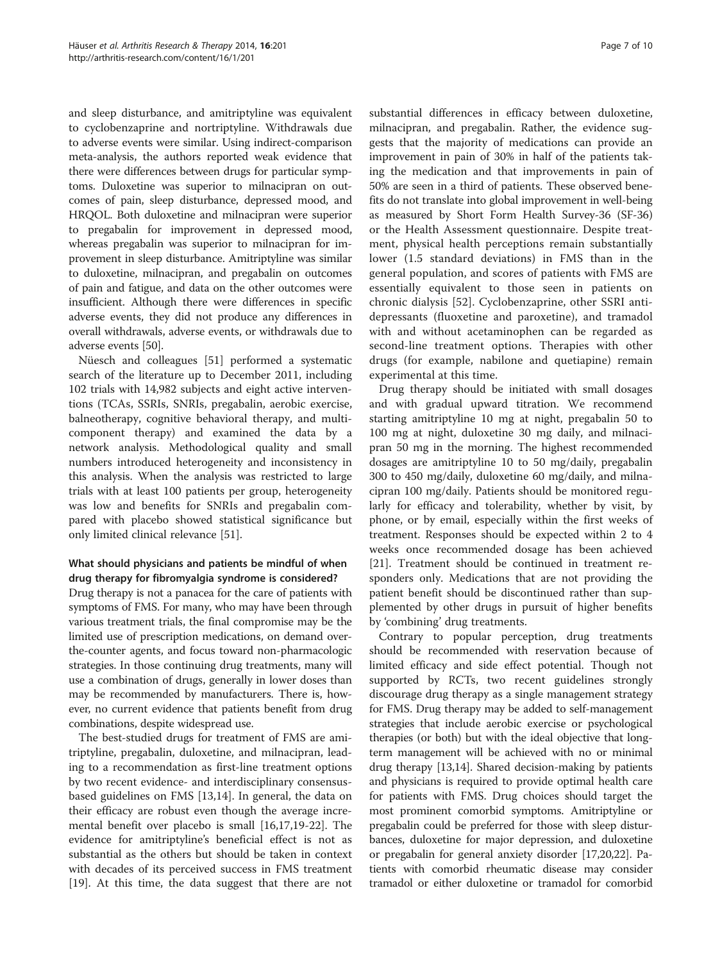and sleep disturbance, and amitriptyline was equivalent to cyclobenzaprine and nortriptyline. Withdrawals due to adverse events were similar. Using indirect-comparison meta-analysis, the authors reported weak evidence that there were differences between drugs for particular symptoms. Duloxetine was superior to milnacipran on outcomes of pain, sleep disturbance, depressed mood, and HRQOL. Both duloxetine and milnacipran were superior to pregabalin for improvement in depressed mood, whereas pregabalin was superior to milnacipran for improvement in sleep disturbance. Amitriptyline was similar to duloxetine, milnacipran, and pregabalin on outcomes of pain and fatigue, and data on the other outcomes were insufficient. Although there were differences in specific adverse events, they did not produce any differences in overall withdrawals, adverse events, or withdrawals due to adverse events [\[50\]](#page-9-0).

Nüesch and colleagues [[51](#page-9-0)] performed a systematic search of the literature up to December 2011, including 102 trials with 14,982 subjects and eight active interventions (TCAs, SSRIs, SNRIs, pregabalin, aerobic exercise, balneotherapy, cognitive behavioral therapy, and multicomponent therapy) and examined the data by a network analysis. Methodological quality and small numbers introduced heterogeneity and inconsistency in this analysis. When the analysis was restricted to large trials with at least 100 patients per group, heterogeneity was low and benefits for SNRIs and pregabalin compared with placebo showed statistical significance but only limited clinical relevance [[51\]](#page-9-0).

# What should physicians and patients be mindful of when drug therapy for fibromyalgia syndrome is considered?

Drug therapy is not a panacea for the care of patients with symptoms of FMS. For many, who may have been through various treatment trials, the final compromise may be the limited use of prescription medications, on demand overthe-counter agents, and focus toward non-pharmacologic strategies. In those continuing drug treatments, many will use a combination of drugs, generally in lower doses than may be recommended by manufacturers. There is, however, no current evidence that patients benefit from drug combinations, despite widespread use.

The best-studied drugs for treatment of FMS are amitriptyline, pregabalin, duloxetine, and milnacipran, leading to a recommendation as first-line treatment options by two recent evidence- and interdisciplinary consensusbased guidelines on FMS [\[13,14](#page-8-0)]. In general, the data on their efficacy are robust even though the average incremental benefit over placebo is small [[16,17,19-22\]](#page-8-0). The evidence for amitriptyline's beneficial effect is not as substantial as the others but should be taken in context with decades of its perceived success in FMS treatment [[19\]](#page-8-0). At this time, the data suggest that there are not

substantial differences in efficacy between duloxetine, milnacipran, and pregabalin. Rather, the evidence suggests that the majority of medications can provide an improvement in pain of 30% in half of the patients taking the medication and that improvements in pain of 50% are seen in a third of patients. These observed benefits do not translate into global improvement in well-being as measured by Short Form Health Survey-36 (SF-36) or the Health Assessment questionnaire. Despite treatment, physical health perceptions remain substantially lower (1.5 standard deviations) in FMS than in the general population, and scores of patients with FMS are essentially equivalent to those seen in patients on chronic dialysis [\[52](#page-9-0)]. Cyclobenzaprine, other SSRI anti-

drugs (for example, nabilone and quetiapine) remain experimental at this time. Drug therapy should be initiated with small dosages and with gradual upward titration. We recommend starting amitriptyline 10 mg at night, pregabalin 50 to 100 mg at night, duloxetine 30 mg daily, and milnacipran 50 mg in the morning. The highest recommended dosages are amitriptyline 10 to 50 mg/daily, pregabalin 300 to 450 mg/daily, duloxetine 60 mg/daily, and milnacipran 100 mg/daily. Patients should be monitored regularly for efficacy and tolerability, whether by visit, by phone, or by email, especially within the first weeks of treatment. Responses should be expected within 2 to 4 weeks once recommended dosage has been achieved [[21\]](#page-8-0). Treatment should be continued in treatment responders only. Medications that are not providing the patient benefit should be discontinued rather than supplemented by other drugs in pursuit of higher benefits by 'combining' drug treatments.

depressants (fluoxetine and paroxetine), and tramadol with and without acetaminophen can be regarded as second-line treatment options. Therapies with other

Contrary to popular perception, drug treatments should be recommended with reservation because of limited efficacy and side effect potential. Though not supported by RCTs, two recent guidelines strongly discourage drug therapy as a single management strategy for FMS. Drug therapy may be added to self-management strategies that include aerobic exercise or psychological therapies (or both) but with the ideal objective that longterm management will be achieved with no or minimal drug therapy [\[13,14\]](#page-8-0). Shared decision-making by patients and physicians is required to provide optimal health care for patients with FMS. Drug choices should target the most prominent comorbid symptoms. Amitriptyline or pregabalin could be preferred for those with sleep disturbances, duloxetine for major depression, and duloxetine or pregabalin for general anxiety disorder [\[17,20,22](#page-8-0)]. Patients with comorbid rheumatic disease may consider tramadol or either duloxetine or tramadol for comorbid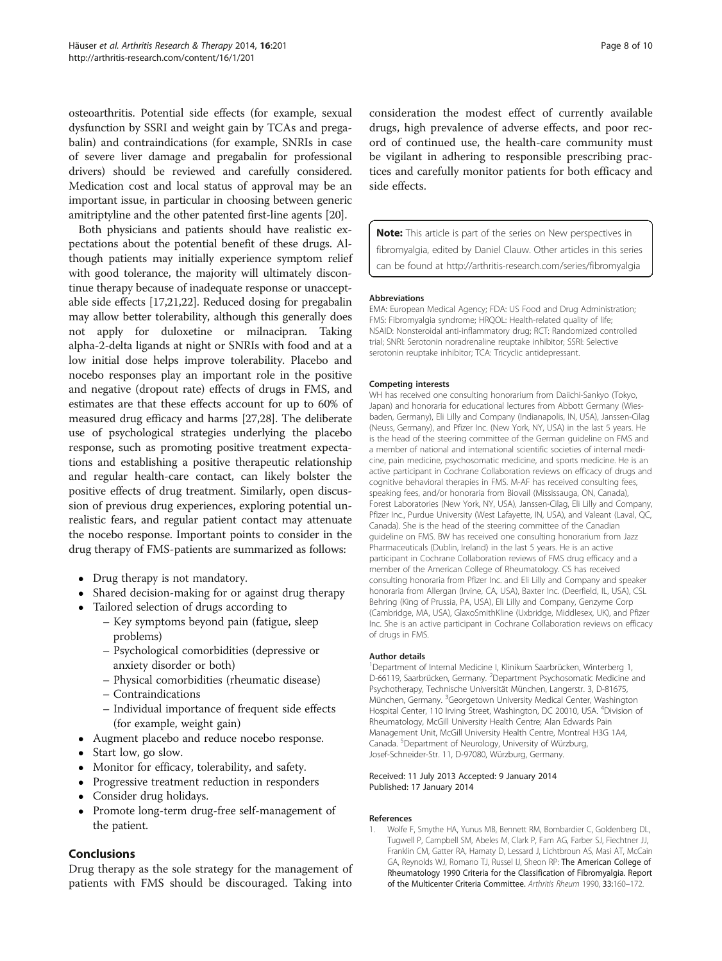<span id="page-7-0"></span>osteoarthritis. Potential side effects (for example, sexual dysfunction by SSRI and weight gain by TCAs and pregabalin) and contraindications (for example, SNRIs in case of severe liver damage and pregabalin for professional drivers) should be reviewed and carefully considered. Medication cost and local status of approval may be an important issue, in particular in choosing between generic amitriptyline and the other patented first-line agents [[20](#page-8-0)].

Both physicians and patients should have realistic expectations about the potential benefit of these drugs. Although patients may initially experience symptom relief with good tolerance, the majority will ultimately discontinue therapy because of inadequate response or unacceptable side effects [\[17,21,22](#page-8-0)]. Reduced dosing for pregabalin may allow better tolerability, although this generally does not apply for duloxetine or milnacipran. Taking alpha-2-delta ligands at night or SNRIs with food and at a low initial dose helps improve tolerability. Placebo and nocebo responses play an important role in the positive and negative (dropout rate) effects of drugs in FMS, and estimates are that these effects account for up to 60% of measured drug efficacy and harms [[27,28\]](#page-8-0). The deliberate use of psychological strategies underlying the placebo response, such as promoting positive treatment expectations and establishing a positive therapeutic relationship and regular health-care contact, can likely bolster the positive effects of drug treatment. Similarly, open discussion of previous drug experiences, exploring potential unrealistic fears, and regular patient contact may attenuate the nocebo response. Important points to consider in the drug therapy of FMS-patients are summarized as follows:

- Drug therapy is not mandatory.
- Shared decision-making for or against drug therapy
- Tailored selection of drugs according to
	- Key symptoms beyond pain (fatigue, sleep problems)
	- Psychological comorbidities (depressive or anxiety disorder or both)
	- Physical comorbidities (rheumatic disease)
	- Contraindications
	- Individual importance of frequent side effects (for example, weight gain)
- Augment placebo and reduce nocebo response.
- Start low, go slow.
- Monitor for efficacy, tolerability, and safety.
- Progressive treatment reduction in responders
- Consider drug holidays.
- Promote long-term drug-free self-management of the patient.

#### Conclusions

Drug therapy as the sole strategy for the management of patients with FMS should be discouraged. Taking into

consideration the modest effect of currently available drugs, high prevalence of adverse effects, and poor record of continued use, the health-care community must be vigilant in adhering to responsible prescribing practices and carefully monitor patients for both efficacy and side effects.

**Note:** This article is part of the series on New perspectives in fibromyalgia, edited by Daniel Clauw. Other articles in this series can be found at<http://arthritis-research.com/series/fibromyalgia>

#### Abbreviations

EMA: European Medical Agency; FDA: US Food and Drug Administration; FMS: Fibromyalgia syndrome; HRQOL: Health-related quality of life; NSAID: Nonsteroidal anti-inflammatory drug; RCT: Randomized controlled trial; SNRI: Serotonin noradrenaline reuptake inhibitor; SSRI: Selective serotonin reuptake inhibitor; TCA: Tricyclic antidepressant.

#### Competing interests

WH has received one consulting honorarium from Daiichi-Sankyo (Tokyo, Japan) and honoraria for educational lectures from Abbott Germany (Wiesbaden, Germany), Eli Lilly and Company (Indianapolis, IN, USA), Janssen-Cilag (Neuss, Germany), and Pfizer Inc. (New York, NY, USA) in the last 5 years. He is the head of the steering committee of the German guideline on FMS and a member of national and international scientific societies of internal medicine, pain medicine, psychosomatic medicine, and sports medicine. He is an active participant in Cochrane Collaboration reviews on efficacy of drugs and cognitive behavioral therapies in FMS. M-AF has received consulting fees, speaking fees, and/or honoraria from Biovail (Mississauga, ON, Canada), Forest Laboratories (New York, NY, USA), Janssen-Cilag, Eli Lilly and Company, Pfizer Inc., Purdue University (West Lafayette, IN, USA), and Valeant (Laval, QC, Canada). She is the head of the steering committee of the Canadian guideline on FMS. BW has received one consulting honorarium from Jazz Pharmaceuticals (Dublin, Ireland) in the last 5 years. He is an active participant in Cochrane Collaboration reviews of FMS drug efficacy and a member of the American College of Rheumatology. CS has received consulting honoraria from Pfizer Inc. and Eli Lilly and Company and speaker honoraria from Allergan (Irvine, CA, USA), Baxter Inc. (Deerfield, IL, USA), CSL Behring (King of Prussia, PA, USA), Eli Lilly and Company, Genzyme Corp (Cambridge, MA, USA), GlaxoSmithKline (Uxbridge, Middlesex, UK), and Pfizer Inc. She is an active participant in Cochrane Collaboration reviews on efficacy of drugs in FMS.

#### Author details

<sup>1</sup>Department of Internal Medicine I, Klinikum Saarbrücken, Winterberg 1, D-66119, Saarbrücken, Germany. <sup>2</sup>Department Psychosomatic Medicine and Psychotherapy, Technische Universität München, Langerstr. 3, D-81675, München, Germany. <sup>3</sup>Georgetown University Medical Center, Washington Hospital Center, 110 Irving Street, Washington, DC 20010, USA. <sup>4</sup>Division of Rheumatology, McGill University Health Centre; Alan Edwards Pain Management Unit, McGill University Health Centre, Montreal H3G 1A4, Canada. <sup>5</sup>Department of Neurology, University of Würzburg, Josef-Schneider-Str. 11, D-97080, Würzburg, Germany.

#### Received: 11 July 2013 Accepted: 9 January 2014 Published: 17 January 2014

#### References

1. Wolfe F, Smythe HA, Yunus MB, Bennett RM, Bombardier C, Goldenberg DL, Tugwell P, Campbell SM, Abeles M, Clark P, Fam AG, Farber SJ, Fiechtner JJ, Franklin CM, Gatter RA, Hamaty D, Lessard J, Lichtbroun AS, Masi AT, McCain GA, Reynolds WJ, Romano TJ, Russel IJ, Sheon RP: The American College of Rheumatology 1990 Criteria for the Classification of Fibromyalgia. Report of the Multicenter Criteria Committee. Arthritis Rheum 1990, 33:160–172.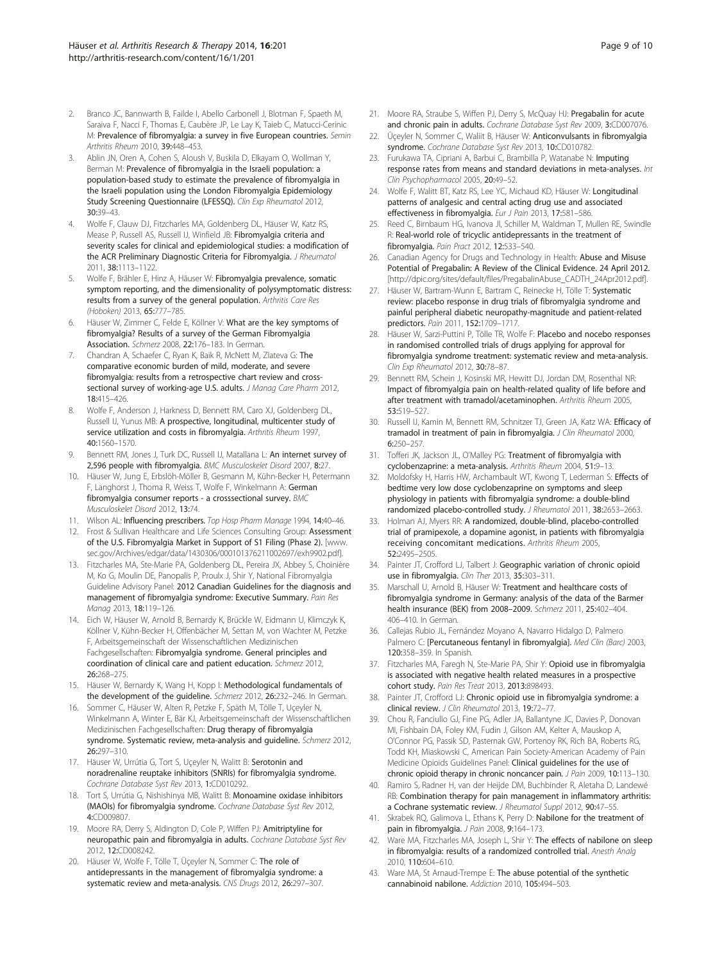- <span id="page-8-0"></span>Branco JC, Bannwarth B, Failde I, Abello Carbonell J, Blotman F, Spaeth M, Saraiva F, Nacci F, Thomas E, Caubère JP, Le Lay K, Taieb C, Matucci-Cerinic M: Prevalence of fibromyalgia: a survey in five European countries. Semin Arthritis Rheum 2010, 39:448–453.
- 3. Ablin JN, Oren A, Cohen S, Aloush V, Buskila D, Elkayam O, Wollman Y, Berman M: Prevalence of fibromyalgia in the Israeli population: a population-based study to estimate the prevalence of fibromyalgia in the Israeli population using the London Fibromyalgia Epidemiology Study Screening Questionnaire (LFESSQ). Clin Exp Rheumatol 2012, 30:39–43.
- 4. Wolfe F, Clauw DJ, Fitzcharles MA, Goldenberg DL, Häuser W, Katz RS, Mease P, Russell AS, Russell IJ, Winfield JB: Fibromyalgia criteria and severity scales for clinical and epidemiological studies: a modification of the ACR Preliminary Diagnostic Criteria for Fibromyalgia. J Rheumatol 2011, 38:1113–1122.
- 5. Wolfe F, Brähler E, Hinz A, Häuser W: Fibromyalgia prevalence, somatic symptom reporting, and the dimensionality of polysymptomatic distress: results from a survey of the general population. Arthritis Care Res (Hoboken) 2013, 65:777–785.
- 6. Häuser W, Zimmer C, Felde E, Köllner V: What are the key symptoms of fibromyalgia? Results of a survey of the German Fibromyalgia Association. Schmerz 2008, 22:176–183. In German.
- Chandran A, Schaefer C, Ryan K, Baik R, McNett M, Zlateva G: The comparative economic burden of mild, moderate, and severe fibromyalgia: results from a retrospective chart review and crosssectional survey of working-age U.S. adults. J Manag Care Pharm 2012, 18:415–426.
- 8. Wolfe F, Anderson J, Harkness D, Bennett RM, Caro XJ, Goldenberg DL, Russell IJ, Yunus MB: A prospective, longitudinal, multicenter study of service utilization and costs in fibromyalgia. Arthritis Rheum 1997, 40:1560–1570.
- Bennett RM, Jones J, Turk DC, Russell IJ, Matallana L: An internet survey of 2,596 people with fibromyalgia. BMC Musculoskelet Disord 2007, 8:27.
- 10. Häuser W, Jung E, Erbslöh-Möller B, Gesmann M, Kühn-Becker H, Petermann F, Langhorst J, Thoma R, Weiss T, Wolfe F, Winkelmann A: German fibromyalgia consumer reports - a crosssectional survey. BMC Musculoskelet Disord 2012, 13:74.
- 11. Wilson AL: Influencing prescribers. Top Hosp Pharm Manage 1994, 14:40-46.
- 12. Frost & Sullivan Healthcare and Life Sciences Consulting Group: Assessment of the U.S. Fibromyalgia Market in Support of S1 Filing (Phase 2). [\[www.](http://www.sec.gov/Archives/edgar/data/1430306/000101376211002697/exh9902.pdf) [sec.gov/Archives/edgar/data/1430306/000101376211002697/exh9902.pdf](http://www.sec.gov/Archives/edgar/data/1430306/000101376211002697/exh9902.pdf)].
- 13. Fitzcharles MA, Ste-Marie PA, Goldenberg DL, Pereira JX, Abbey S, Choinière M, Ko G, Moulin DE, Panopalis P, Proulx J, Shir Y, National Fibromyalgia Guideline Advisory Panel: 2012 Canadian Guidelines for the diagnosis and management of fibromyalgia syndrome: Executive Summary. Pain Res Manag 2013, 18:119–126.
- 14. Eich W, Häuser W, Arnold B, Bernardy K, Brückle W, Eidmann U, Klimczyk K, Köllner V, Kühn-Becker H, Offenbächer M, Settan M, von Wachter M, Petzke F, Arbeitsgemeinschaft der Wissenschaftlichen Medizinischen Fachgesellschaften: Fibromyalgia syndrome. General principles and coordination of clinical care and patient education. Schmerz 2012, 26:268–275.
- 15. Häuser W, Bernardy K, Wang H, Kopp I: Methodological fundamentals of the development of the guideline. Schmerz 2012, 26:232–246. In German.
- 16. Sommer C, Häuser W, Alten R, Petzke F, Späth M, Tölle T, Uçeyler N, Winkelmann A, Winter E, Bär KJ, Arbeitsgemeinschaft der Wissenschaftlichen Medizinischen Fachgesellschaften: Drug therapy of fibromyalgia syndrome. Systematic review, meta-analysis and quideline. Schmerz 2012, 26:297–310.
- 17. Häuser W, Urrútia G, Tort S, Uçeyler N, Walitt B: Serotonin and noradrenaline reuptake inhibitors (SNRIs) for fibromyalgia syndrome. Cochrane Database Syst Rev 2013, 1:CD010292.
- 18. Tort S, Urrútia G, Nishishinya MB, Walitt B: Monoamine oxidase inhibitors (MAOIs) for fibromyalgia syndrome. Cochrane Database Syst Rev 2012, 4:CD009807.
- 19. Moore RA, Derry S, Aldington D, Cole P, Wiffen PJ: Amitriptyline for neuropathic pain and fibromyalgia in adults. Cochrane Database Syst Rev 2012, 12:CD008242.
- 20. Häuser W, Wolfe F, Tölle T, Üçeyler N, Sommer C: The role of antidepressants in the management of fibromyalgia syndrome: a systematic review and meta-analysis. CNS Drugs 2012, 26:297–307.
- 21. Moore RA, Straube S, Wiffen PJ, Derry S, McQuay HJ: Pregabalin for acute and chronic pain in adults. Cochrane Database Syst Rev 2009, 3:CD007076.
- 22. Üçeyler N, Sommer C, Waliit B, Häuser W: Anticonvulsants in fibromyalgia syndrome. Cochrane Database Syst Rev 2013, 10:CD010782.
- 23. Furukawa TA, Cipriani A, Barbui C, Brambilla P, Watanabe N: Imputing response rates from means and standard deviations in meta-analyses. Int Clin Psychopharmacol 2005, 20:49–52.
- 24. Wolfe F, Walitt BT, Katz RS, Lee YC, Michaud KD, Häuser W: Longitudinal patterns of analgesic and central acting drug use and associated effectiveness in fibromyalgia. Eur J Pain 2013, 17:581–586.
- 25. Reed C, Birnbaum HG, Ivanova JI, Schiller M, Waldman T, Mullen RE, Swindle R: Real-world role of tricyclic antidepressants in the treatment of fibromyalgia. Pain Pract 2012, 12:533–540.
- 26. Canadian Agency for Drugs and Technology in Health: Abuse and Misuse Potential of Pregabalin: A Review of the Clinical Evidence. 24 April 2012. [[http://dpic.org/sites/default/files/PregabalinAbuse\\_CADTH\\_24Apr2012.pdf\]](http://dpic.org/sites/default/files/PregabalinAbuse_CADTH_24Apr2012.pdf).
- 27. Häuser W, Bartram-Wunn E, Bartram C, Reinecke H, Tölle T: Systematic review: placebo response in drug trials of fibromyalgia syndrome and painful peripheral diabetic neuropathy-magnitude and patient-related predictors. Pain 2011, 152:1709–1717.
- 28. Häuser W, Sarzi-Puttini P, Tölle TR, Wolfe F: Placebo and nocebo responses in randomised controlled trials of drugs applying for approval for fibromyalgia syndrome treatment: systematic review and meta-analysis. Clin Exp Rheumatol 2012, 30:78–87.
- 29. Bennett RM, Schein J, Kosinski MR, Hewitt DJ, Jordan DM, Rosenthal NR: Impact of fibromyalgia pain on health-related quality of life before and after treatment with tramadol/acetaminophen. Arthritis Rheum 2005, 53:519–527.
- 30. Russell IJ, Kamin M, Bennett RM, Schnitzer TJ, Green JA, Katz WA: Efficacy of tramadol in treatment of pain in fibromyalgia. J Clin Rheumatol 2000, 6:250–257.
- 31. Tofferi JK, Jackson JL, O'Malley PG: Treatment of fibromyalgia with cyclobenzaprine: a meta-analysis. Arthritis Rheum 2004, 51:9–13.
- 32. Moldofsky H, Harris HW, Archambault WT, Kwong T, Lederman S: Effects of bedtime very low dose cyclobenzaprine on symptoms and sleep physiology in patients with fibromyalgia syndrome: a double-blind randomized placebo-controlled study. J Rheumatol 2011, 38:2653–2663.
- 33. Holman AJ, Myers RR: A randomized, double-blind, placebo-controlled trial of pramipexole, a dopamine agonist, in patients with fibromyalgia receiving concomitant medications. Arthritis Rheum 2005, 52:2495–2505.
- 34. Painter JT, Crofford LJ, Talbert J: Geographic variation of chronic opioid use in fibromyalgia. Clin Ther 2013, 35:303-311.
- 35. Marschall U, Arnold B, Häuser W: Treatment and healthcare costs of fibromyalgia syndrome in Germany: analysis of the data of the Barmer health insurance (BEK) from 2008–2009. Schmerz 2011, 25:402–404. 406–410. In German.
- 36. Callejas Rubio JL, Fernández Moyano A, Navarro Hidalgo D, Palmero Palmero C: [Percutaneous fentanyl in fibromyalgia]. Med Clin (Barc) 2003, 120:358–359. In Spanish.
- 37. Fitzcharles MA, Faregh N, Ste-Marie PA, Shir Y: Opioid use in fibromyalgia is associated with negative health related measures in a prospective cohort study. Pain Res Treat 2013, 2013:898493.
- Painter JT, Crofford LJ: Chronic opioid use in fibromyalgia syndrome: a clinical review. J Clin Rheumatol 2013, 19:72-77.
- 39. Chou R, Fanciullo GJ, Fine PG, Adler JA, Ballantyne JC, Davies P, Donovan MI, Fishbain DA, Foley KM, Fudin J, Gilson AM, Kelter A, Mauskop A, O'Connor PG, Passik SD, Pasternak GW, Portenoy RK, Rich BA, Roberts RG, Todd KH, Miaskowski C, American Pain Society-American Academy of Pain Medicine Opioids Guidelines Panel: Clinical guidelines for the use of chronic opioid therapy in chronic noncancer pain. J Pain 2009, 10:113-130.
- 40. Ramiro S, Radner H, van der Heijde DM, Buchbinder R, Aletaha D, Landewé RB: Combination therapy for pain management in inflammatory arthritis: a Cochrane systematic review. J Rheumatol Suppl 2012, 90:47–55.
- 41. Skrabek RQ, Galimova L, Ethans K, Perry D: Nabilone for the treatment of pain in fibromyalgia. J Pain 2008, 9:164-173.
- 42. Ware MA, Fitzcharles MA, Joseph L, Shir Y: The effects of nabilone on sleep in fibromyalgia: results of a randomized controlled trial. Anesth Analg 2010, 110:604–610.
- 43. Ware MA, St Arnaud-Trempe E: The abuse potential of the synthetic cannabinoid nabilone. Addiction 2010, 105:494–503.